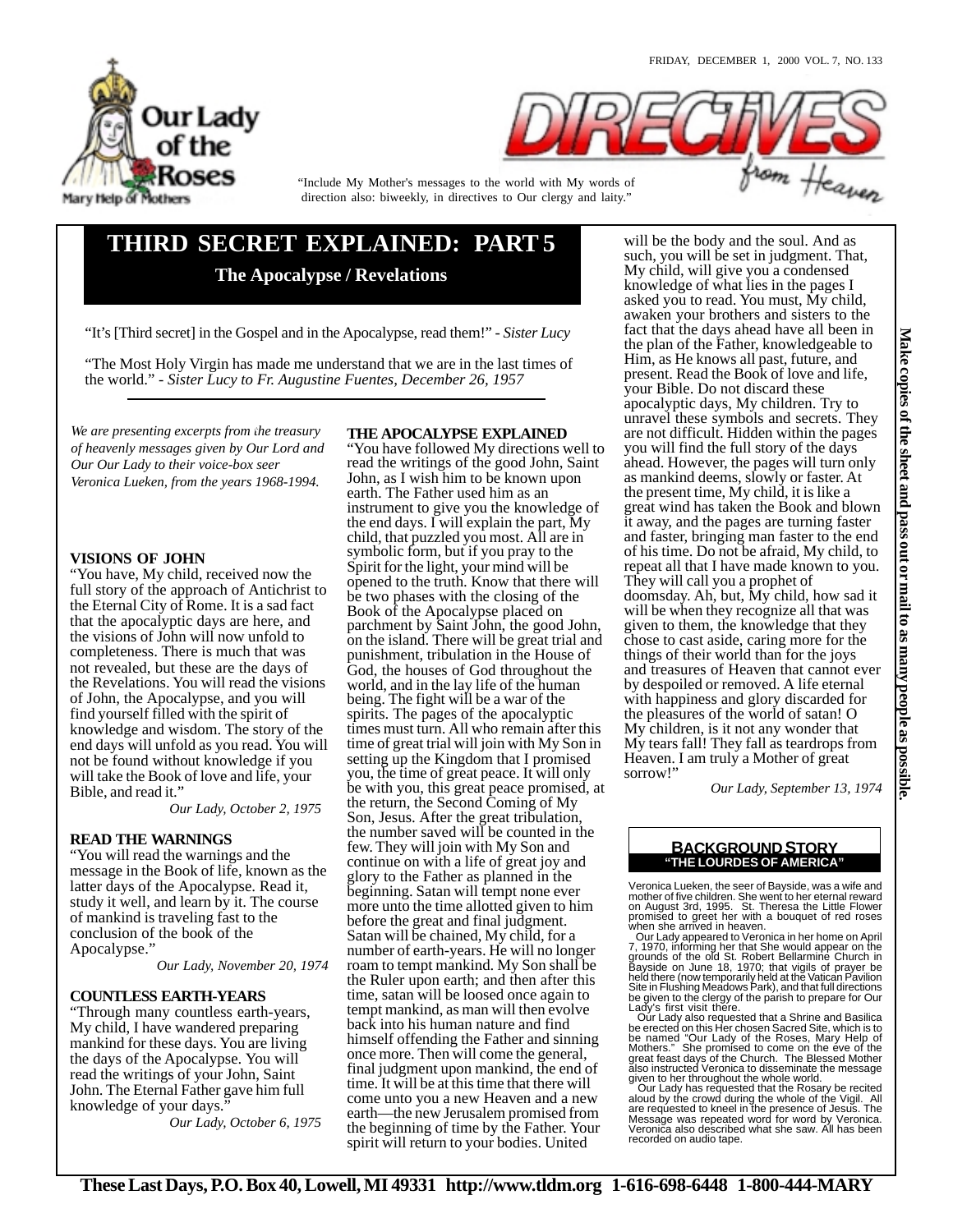



direction also: biweekly, in directives to Our clergy and laity." "Include My Mother's messages to the world with My words of

# **THIRD SECRET EXPLAINED: PART 5 The Apocalypse / Revelations**

"It's [Third secret] in the Gospel and in the Apocalypse, read them!" *- Sister Lucy* 

"The Most Holy Virgin has made me understand that we are in the last times of the world." *- Sister Lucy to Fr. Augustine Fuentes, December 26, 1957*

We are presenting excerpts from the treasury *of heavenly messages given by Our Lord and Our Our Lady to their voice-box seer Veronica Lueken, from the years 1968-1994.*

# **VISIONS OF JOHN**

"You have, My child, received now the full story of the approach of Antichrist to the Eternal City of Rome. It is a sad fact that the apocalyptic days are here, and the visions of John will now unfold to completeness. There is much that was not revealed, but these are the days of the Revelations. You will read the visions of John, the Apocalypse, and you will find yourself filled with the spirit of knowledge and wisdom. The story of the end days will unfold as you read. You will not be found without knowledge if you will take the Book of love and life, your Bible, and read it."

*Our Lady, October 2, 1975* 

# **READ THE WARNINGS**

"You will read the warnings and the message in the Book of life, known as the latter days of the Apocalypse. Read it, study it well, and learn by it. The course of mankind is traveling fast to the conclusion of the book of the Apocalypse."

*Our Lady, November 20, 1974*

# **COUNTLESS EARTH-YEARS**

"Through many countless earth-years, My child, I have wandered preparing mankind for these days. You are living the days of the Apocalypse. You will read the writings of your John, Saint John. The Eternal Father gave him full knowledge of your days."

*Our Lady, October 6, 1975* 

# **THE APOCALYPSE EXPLAINED**

"You have followed My directions well to read the writings of the good John, Saint John, as I wish him to be known upon earth. The Father used him as an instrument to give you the knowledge of the end days. I will explain the part, My child, that puzzled you most. All are in symbolic form, but if you pray to the Spirit for the light, your mind will be opened to the truth. Know that there will be two phases with the closing of the Book of the Apocalypse placed on parchment by Saint John, the good John, on the island. There will be great trial and punishment, tribulation in the House of God, the houses of God throughout the world, and in the lay life of the human being. The fight will be a war of the spirits. The pages of the apocalyptic times must turn. All who remain after this time of great trial will join with My Son in setting up the Kingdom that I promised you, the time of great peace. It will only be with you, this great peace promised, at the return, the Second Coming of My Son, Jesus. After the great tribulation, the number saved will be counted in the few. They will join with My Son and continue on with a life of great joy and glory to the Father as planned in the beginning. Satan will tempt none ever more unto the time allotted given to him before the great and final judgment. Satan will be chained, My child, for a number of earth-years. He will no longer roam to tempt mankind. My Son shall be the Ruler upon earth; and then after this time, satan will be loosed once again to tempt mankind, as man will then evolve back into his human nature and find himself offending the Father and sinning once more. Then will come the general, final judgment upon mankind, the end of time. It will be at this time that there will come unto you a new Heaven and a new earth—the new Jerusalem promised from the beginning of time by the Father. Your spirit will return to your bodies. United

will be the body and the soul. And as such, you will be set in judgment. That, My child, will give you a condensed knowledge of what lies in the pages I asked you to read. You must, My child, awaken your brothers and sisters to the fact that the days ahead have all been in the plan of the Father, knowledgeable to Him, as He knows all past, future, and present. Read the Book of love and life, your Bible. Do not discard these apocalyptic days, My children. Try to unravel these symbols and secrets. They are not difficult. Hidden within the pages you will find the full story of the days ahead. However, the pages will turn only as mankind deems, slowly or faster. At the present time, My child, it is like a great wind has taken the Book and blown it away, and the pages are turning faster and faster, bringing man faster to the end of his time. Do not be afraid, My child, to repeat all that I have made known to you. They will call you a prophet of doomsday. Ah, but, My child, how sad it will be when they recognize all that was given to them, the knowledge that they chose to cast aside, caring more for the things of their world than for the joys and treasures of Heaven that cannot ever by despoiled or removed. A life eternal with happiness and glory discarded for the pleasures of the world of satan! O My children, is it not any wonder that My tears fall! They fall as teardrops from Heaven. I am truly a Mother of great sorrow!"

*Our Lady, September 13, 1974*

# **"THE LOURDES OF AMERICA" BACKGROUND STORY**

Veronica Lueken, the seer of Bayside, was a wife and mother of five children. She went to her eternal reward<br>on August 3rd, 1995. St. Theresa the Little Flower<br>promised to greet her with a bouquet of red roses<br>when she arrived in heaven.<br>Our Lady appeared to Veronica in her

7, 1970, informing her that She would appear on the<br>grounds of the old St. Robert Bellarmine Church in<br>Bayside on June 18, 1970; that vigils of prayer be<br>held there (now temporarily held at the Vatican Pavilion<br>Site in Flu Lady's first visit there.

Our Lady also requested that a Shrine and Basilica<br>be erected on this Her chosen Sacred Site, which is to<br>be named "Our Lady of the Roses, Mary Help of<br>Mothers." She promised to come on the eve of the<br>great feast days of t given to her throughout the whole world. Our Lady has requested that the Rosary be recited

aloud by the crowd during the whole of the Vigil. All are requested to kneel in the presence of Jesus. The Message was repeated word for word by Veronica. Veronica also described what she saw. All has been recorded on audio tape.